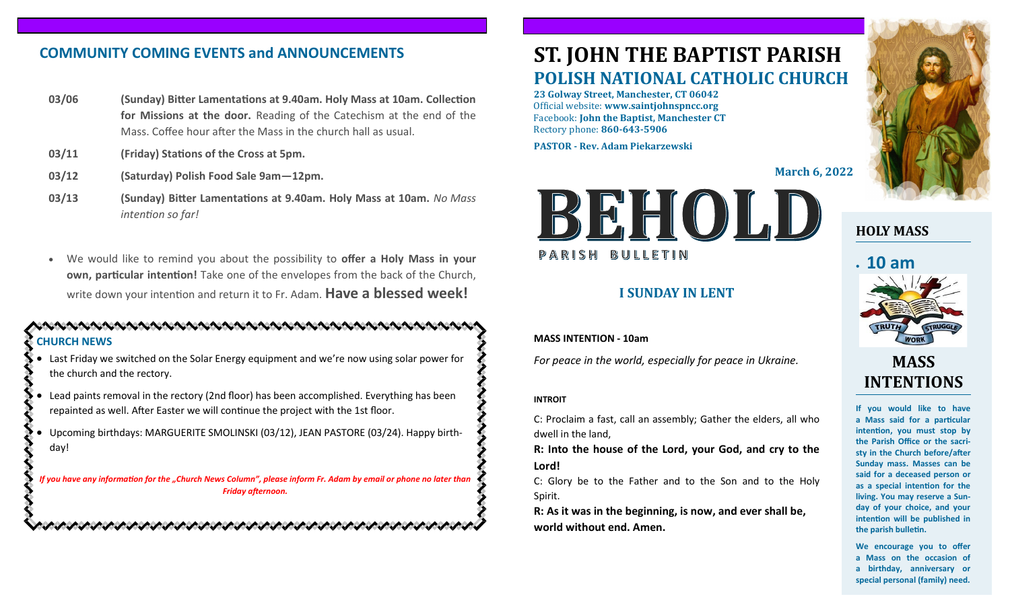### **COMMUNITY COMING EVENTS and ANNOUNCEMENTS**

- **03/06 (Sunday) Bitter Lamentations at 9.40am. Holy Mass at 10am. Collection for Missions at the door.** Reading of the Catechism at the end of the Mass. Coffee hour after the Mass in the church hall as usual.
- **03/11 (Friday) Stations of the Cross at 5pm.**
- **03/12 (Saturday) Polish Food Sale 9am—12pm.**
- **03/13 (Sunday) Bitter Lamentations at 9.40am. Holy Mass at 10am.** *No Mass intention so far!*
- We would like to remind you about the possibility to **offer a Holy Mass in your own, particular intention!** Take one of the envelopes from the back of the Church, write down your intention and return it to Fr. Adam. **Have a blessed week!**

#### **CHURCH NEWS**

• Last Friday we switched on the Solar Energy equipment and we're now using solar power for the church and the rectory.

• Lead paints removal in the rectory (2nd floor) has been accomplished. Everything has been repainted as well. After Easter we will continue the project with the 1st floor.

• Upcoming birthdays: MARGUERITE SMOLINSKI (03/12), JEAN PASTORE (03/24). Happy birthday!

*If you have any information for the "Church News Column", please inform Fr. Adam by email or phone no later than Friday afternoon.*

# **ST. JOHN THE BAPTIST PARISH POLISH NATIONAL CATHOLIC CHURCH**

**23 Golway Street, Manchester, CT 06042** Official website: **www.saintjohnspncc.org** Facebook: **John the Baptist, Manchester CT** Rectory phone: **860-643-5906** 

**PASTOR - Rev. Adam Piekarzewski**

**March 6, 2022**



#### **I SUNDAY IN LENT**

#### **MASS INTENTION - 10am**

*For peace in the world, especially for peace in Ukraine.*

#### **INTROIT**

C: Proclaim a fast, call an assembly; Gather the elders, all who dwell in the land,

**R: Into the house of the Lord, your God, and cry to the Lord!**

C: Glory be to the Father and to the Son and to the Holy Spirit.

**R: As it was in the beginning, is now, and ever shall be, world without end. Amen.**



#### **HOLY MASS**

# • **10 am**



## **MASS INTENTIONS**

**If you would like to have a Mass said for a particular intention, you must stop by the Parish Office or the sacristy in the Church before/after Sunday mass. Masses can be said for a deceased person or as a special intention for the living. You may reserve a Sunday of your choice, and your intention will be published in the parish bulletin.**

**We encourage you to offer a Mass on the occasion of a birthday, anniversary or special personal (family) need.**